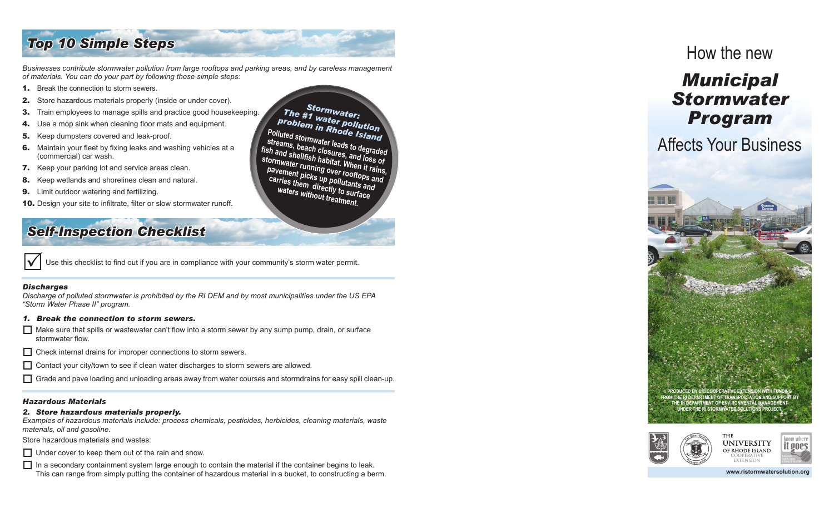## *Top 10 Simple Steps*

*Businesses contribute stormwater pollution from large rooftops and parking areas, and by careless management of materials. You can do your part by following these simple steps:*

- 1. Break the connection to storm sewers.
- **2.** Store hazardous materials properly (inside or under cover).
- **3.** Train employees to manage spills and practice good housekeeping.
- 4. Use a mop sink when cleaning floor mats and equipment.
- **5.** Keep dumpsters covered and leak-proof.
- **6.** Maintain your fleet by fixing leaks and washing vehicles at a (commercial) car wash.
- **7.** Keep your parking lot and service areas clean.
- 8. Keep wetlands and shorelines clean and natural.
- **9.** Limit outdoor watering and fertilizing.
- **10.** Design your site to infiltrate, filter or slow stormwater runoff.

## *Self-Inspection Checklist*

Use this checklist to find out if you are in compliance with your community's storm water permit.

#### *Discharges*

*Discharge of polluted stormwater is prohibited by the RI DEM and by most municipalities under the US EPA "Storm Water Phase II" program.* 

#### *1. Break the connection to storm sewers.*

- $\Box$  Make sure that spills or wastewater can't flow into a storm sewer by any sump pump, drain, or surface stormwater flow.
- $\Box$  Check internal drains for improper connections to storm sewers.
- $\Box$  Contact your city/town to see if clean water discharges to storm sewers are allowed.
- $\Box$  Grade and pave loading and unloading areas away from water courses and stormdrains for easy spill clean-up.

#### *Hazardous Materials*

#### *2. Store hazardous materials properly.*

*Examples of hazardous materials include: process chemicals, pesticides, herbicides, cleaning materials, waste materials, oil and gasoline.* 

Store hazardous materials and wastes:

 $\Box$  Under cover to keep them out of the rain and snow.

 $\Box$  In a secondary containment system large enough to contain the material if the container begins to leak. This can range from simply putting the container of hazardous material in a bucket, to constructing

The #1 water pollution<br>Polluted stormwater pollution<br>Polluted stormwater leads to degraded<br>fish and shellfish closures, and loss of<br>the municipal stormwater running over rooft in rains,<br>pavement picks up pollutants and<br>car

## How the new

# *Municipal Stormwater Program*

# Affects Your Business





OF RHODE ISLAND **COOPERATIVE EXTENSION**

II QOES

a berm. **www.ristormwatersolution.org**